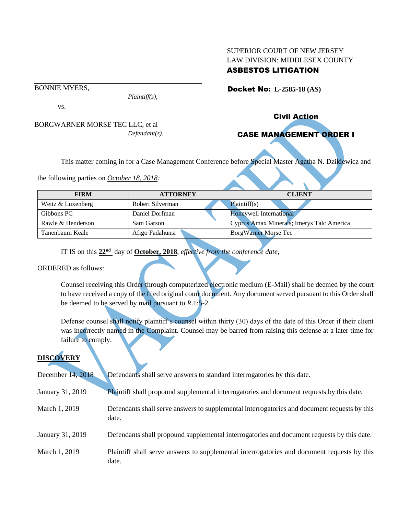## SUPERIOR COURT OF NEW JERSEY LAW DIVISION: MIDDLESEX COUNTY ASBESTOS LITIGATION

BONNIE MYERS,

vs.

BORGWARNER MORSE TEC LLC, et al *Defendant(s).*

*Plaintiff(s),*

Docket No: **L-2585-18 (AS)** 

Civil Action

# CASE MANAGEMENT ORDER I

This matter coming in for a Case Management Conference before Special Master Agatha N. Dzikiewicz and

the following parties on *October 18, 2018:*

| <b>FIRM</b>       | <b>ATTORNEY</b>  | <b>CLIENT</b>                             |
|-------------------|------------------|-------------------------------------------|
|                   |                  |                                           |
| Weitz & Luxenberg | Robert Silverman | Plaintiff(s)                              |
| Gibbons PC        | Daniel Dorfman   | Honeywell International                   |
| Rawle & Henderson | Sam Garson       | Cyprus Amax Minerals; Imerys Talc America |
| Tanenbaum Keale   | Afigo Fadahunsi  | <b>BorgWarner Morse Tec</b>               |

IT IS on this **22nd** day of **October, 2018**, *effective from the conference date;*

ORDERED as follows:

Counsel receiving this Order through computerized electronic medium (E-Mail) shall be deemed by the court to have received a copy of the filed original court document. Any document served pursuant to this Order shall be deemed to be served by mail pursuant to *R*.1:5-2.

Defense counsel shall notify plaintiff's counsel within thirty (30) days of the date of this Order if their client was incorrectly named in the Complaint. Counsel may be barred from raising this defense at a later time for failure to comply.

## **DISCOVERY**

| December 14, 2018 | Defendants shall serve answers to standard interrogatories by this date.                              |
|-------------------|-------------------------------------------------------------------------------------------------------|
| January 31, 2019  | Plaintiff shall propound supplemental interrogatories and document requests by this date.             |
| March 1, 2019     | Defendants shall serve answers to supplemental interrogatories and document requests by this<br>date. |
| January 31, 2019  | Defendants shall propound supplemental interrogatories and document requests by this date.            |
| March 1, 2019     | Plaintiff shall serve answers to supplemental interrogatories and document requests by this<br>date.  |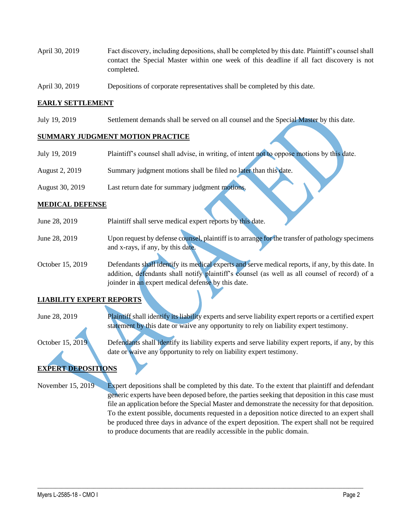- April 30, 2019 Fact discovery, including depositions, shall be completed by this date. Plaintiff's counsel shall contact the Special Master within one week of this deadline if all fact discovery is not completed.
- April 30, 2019 Depositions of corporate representatives shall be completed by this date.

#### **EARLY SETTLEMENT**

July 19, 2019 Settlement demands shall be served on all counsel and the Special Master by this date.

#### **SUMMARY JUDGMENT MOTION PRACTICE**

| July 19, 2019         | Plaintiff's counsel shall advise, in writing, of intent not to oppose motions by this date. |
|-----------------------|---------------------------------------------------------------------------------------------|
| <b>August 2, 2019</b> | Summary judgment motions shall be filed no later than this date.                            |
| August 30, 2019       | Last return date for summary judgment motions.                                              |

#### **MEDICAL DEFENSE**

| June 28, 2019    | Plaintiff shall serve medical expert reports by this date.                                        |
|------------------|---------------------------------------------------------------------------------------------------|
| June 28, 2019    | Upon request by defense counsel, plaintiff is to arrange for the transfer of pathology specimens  |
|                  | and x-rays, if any, by this date.                                                                 |
| October 15, 2019 | Defendants shall identify its medical experts and serve medical reports, if any, by this date. In |
|                  | addition, defendants shall notify plaintiff's counsel (as well as all counsel of record) of a     |
|                  | joinder in an expert medical defense by this date.                                                |

## **LIABILITY EXPERT REPORTS**

June 28, 2019 Plaintiff shall identify its liability experts and serve liability expert reports or a certified expert statement by this date or waive any opportunity to rely on liability expert testimony.

October 15, 2019 Defendants shall identify its liability experts and serve liability expert reports, if any, by this date or waive any opportunity to rely on liability expert testimony.

### **EXPERT DEPOSITIONS**

November 15, 2019 Expert depositions shall be completed by this date. To the extent that plaintiff and defendant generic experts have been deposed before, the parties seeking that deposition in this case must file an application before the Special Master and demonstrate the necessity for that deposition. To the extent possible, documents requested in a deposition notice directed to an expert shall be produced three days in advance of the expert deposition. The expert shall not be required to produce documents that are readily accessible in the public domain.

 $\_$  , and the set of the set of the set of the set of the set of the set of the set of the set of the set of the set of the set of the set of the set of the set of the set of the set of the set of the set of the set of th